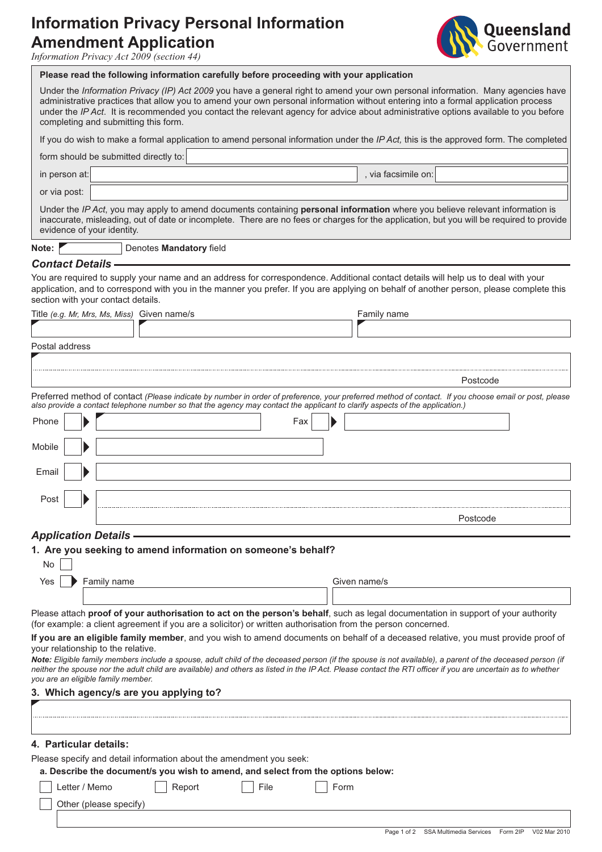# **Information Privacy Personal Information Amendment Application**<br>*Information Privacy Act 2009 (section 44)*



|                          | Please read the following information carefully before proceeding with your application                                                                                                                                                                                                                                                                                                                                                             |
|--------------------------|-----------------------------------------------------------------------------------------------------------------------------------------------------------------------------------------------------------------------------------------------------------------------------------------------------------------------------------------------------------------------------------------------------------------------------------------------------|
|                          | Under the Information Privacy (IP) Act 2009 you have a general right to amend your own personal information. Many agencies have<br>administrative practices that allow you to amend your own personal information without entering into a formal application process<br>under the IP Act. It is recommended you contact the relevant agency for advice about administrative options available to you before<br>completing and submitting this form. |
|                          | If you do wish to make a formal application to amend personal information under the IP Act, this is the approved form. The completed                                                                                                                                                                                                                                                                                                                |
|                          | form should be submitted directly to:                                                                                                                                                                                                                                                                                                                                                                                                               |
| in person at:            | , via facsimile on:                                                                                                                                                                                                                                                                                                                                                                                                                                 |
| or via post:             |                                                                                                                                                                                                                                                                                                                                                                                                                                                     |
|                          | Under the IP Act, you may apply to amend documents containing personal information where you believe relevant information is<br>inaccurate, misleading, out of date or incomplete. There are no fees or charges for the application, but you will be required to provide<br>evidence of your identity.                                                                                                                                              |
| Note:                    | Denotes Mandatory field                                                                                                                                                                                                                                                                                                                                                                                                                             |
| <b>Contact Details -</b> |                                                                                                                                                                                                                                                                                                                                                                                                                                                     |
|                          | You are required to supply your name and an address for correspondence. Additional contact details will help us to deal with your<br>application, and to correspond with you in the manner you prefer. If you are applying on behalf of another person, please complete this<br>section with your contact details.                                                                                                                                  |
|                          | Title (e.g. Mr, Mrs, Ms, Miss) Given name/s<br>Family name                                                                                                                                                                                                                                                                                                                                                                                          |
|                          |                                                                                                                                                                                                                                                                                                                                                                                                                                                     |
| Postal address           |                                                                                                                                                                                                                                                                                                                                                                                                                                                     |
|                          |                                                                                                                                                                                                                                                                                                                                                                                                                                                     |
|                          | Postcode                                                                                                                                                                                                                                                                                                                                                                                                                                            |
|                          | Preferred method of contact (Please indicate by number in order of preference, your preferred method of contact. If you choose email or post, please                                                                                                                                                                                                                                                                                                |
|                          | also provide a contact telephone number so that the agency may contact the applicant to clarify aspects of the application.)                                                                                                                                                                                                                                                                                                                        |
| Phone                    | Fax                                                                                                                                                                                                                                                                                                                                                                                                                                                 |
| Mobile                   |                                                                                                                                                                                                                                                                                                                                                                                                                                                     |
|                          |                                                                                                                                                                                                                                                                                                                                                                                                                                                     |
| Email                    |                                                                                                                                                                                                                                                                                                                                                                                                                                                     |
|                          |                                                                                                                                                                                                                                                                                                                                                                                                                                                     |
| Post                     |                                                                                                                                                                                                                                                                                                                                                                                                                                                     |
|                          | Postcode                                                                                                                                                                                                                                                                                                                                                                                                                                            |
|                          | <b>Application Details -</b>                                                                                                                                                                                                                                                                                                                                                                                                                        |
| No                       | 1. Are you seeking to amend information on someone's behalf?                                                                                                                                                                                                                                                                                                                                                                                        |
| Yes                      | Family name<br>Given name/s                                                                                                                                                                                                                                                                                                                                                                                                                         |
|                          |                                                                                                                                                                                                                                                                                                                                                                                                                                                     |
|                          | Please attach proof of your authorisation to act on the person's behalf, such as legal documentation in support of your authority<br>(for example: a client agreement if you are a solicitor) or written authorisation from the person concerned.                                                                                                                                                                                                   |
|                          | If you are an eligible family member, and you wish to amend documents on behalf of a deceased relative, you must provide proof of                                                                                                                                                                                                                                                                                                                   |
|                          | your relationship to the relative.<br>Note: Eligible family members include a spouse, adult child of the deceased person (if the spouse is not available), a parent of the deceased person (if<br>neither the spouse nor the adult child are available) and others as listed in the IP Act. Please contact the RTI officer if you are uncertain as to whether<br>you are an eligible family member.                                                 |
|                          | 3. Which agency/s are you applying to?                                                                                                                                                                                                                                                                                                                                                                                                              |
|                          |                                                                                                                                                                                                                                                                                                                                                                                                                                                     |
|                          |                                                                                                                                                                                                                                                                                                                                                                                                                                                     |
|                          |                                                                                                                                                                                                                                                                                                                                                                                                                                                     |
| 4. Particular details:   |                                                                                                                                                                                                                                                                                                                                                                                                                                                     |
|                          | Please specify and detail information about the amendment you seek:<br>a. Describe the document/s you wish to amend, and select from the options below:                                                                                                                                                                                                                                                                                             |
|                          | Letter / Memo<br>File<br>Form<br>Report                                                                                                                                                                                                                                                                                                                                                                                                             |
|                          | Other (please specify)                                                                                                                                                                                                                                                                                                                                                                                                                              |
|                          |                                                                                                                                                                                                                                                                                                                                                                                                                                                     |